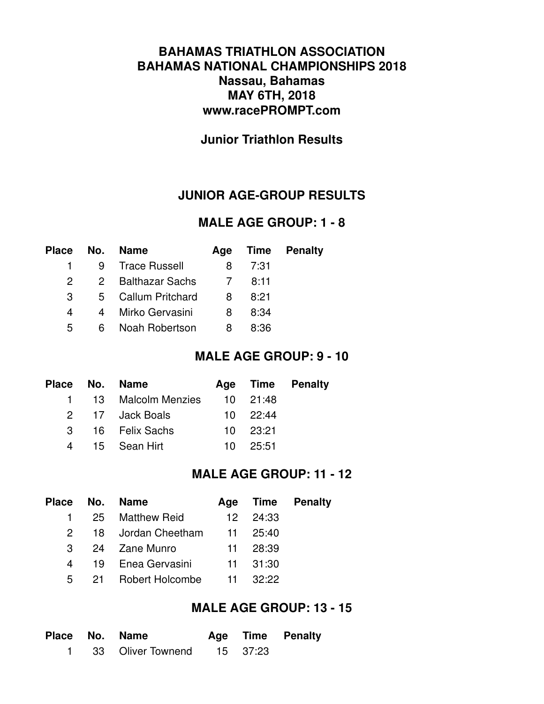### **BAHAMAS TRIATHLON ASSOCIATION BAHAMAS NATIONAL CHAMPIONSHIPS 2018 Nassau, Bahamas MAY 6TH, 2018 www.racePROMPT.com**

### **Junior Triathlon Results**

### **JUNIOR AGE-GROUP RESULTS**

#### **MALE AGE GROUP: 1 - 8**

| Place | No. | <b>Name</b>        |   |      | Age Time Penalty |
|-------|-----|--------------------|---|------|------------------|
|       | 9   | Trace Russell      | 8 | 7:31 |                  |
| 2     |     | 2 Balthazar Sachs  |   | 8:11 |                  |
| 3     |     | 5 Callum Pritchard | 8 | 8:21 |                  |
| 4     | 4   | Mirko Gervasini    | 8 | 8:34 |                  |
| 5     | 6.  | Noah Robertson     | 8 | 8:36 |                  |
|       |     |                    |   |      |                  |

#### **MALE AGE GROUP: 9 - 10**

|  | Place No. Name       |              | Age Time Penalty |
|--|----------------------|--------------|------------------|
|  | 1 13 Malcolm Menzies | 10 21:48     |                  |
|  | 2 17 Jack Boals      | $10^{22.44}$ |                  |
|  | 3 16 Felix Sachs     | 10 23:21     |                  |
|  | 4 15 Sean Hirt       | $10^{25.51}$ |                  |

### **MALE AGE GROUP: 11 - 12**

|          | Place No. Name                |                  | Age Time Penalty |
|----------|-------------------------------|------------------|------------------|
|          | 1 25 Matthew Reid             | $12 \quad 24:33$ |                  |
|          | 2 18 Jordan Cheetham 11 25:40 |                  |                  |
|          | 3 24 Zane Munro               | 11 28:39         |                  |
| $\sim$ 4 | 19 Enea Gervasini             | 11 31:30         |                  |
|          | 5 21 Robert Holcombe          | $11 \quad 32:22$ |                  |

### **MALE AGE GROUP: 13 - 15**

|  | Place No. Name               |  | Age Time Penalty |
|--|------------------------------|--|------------------|
|  | 1 33 Oliver Townend 15 37:23 |  |                  |